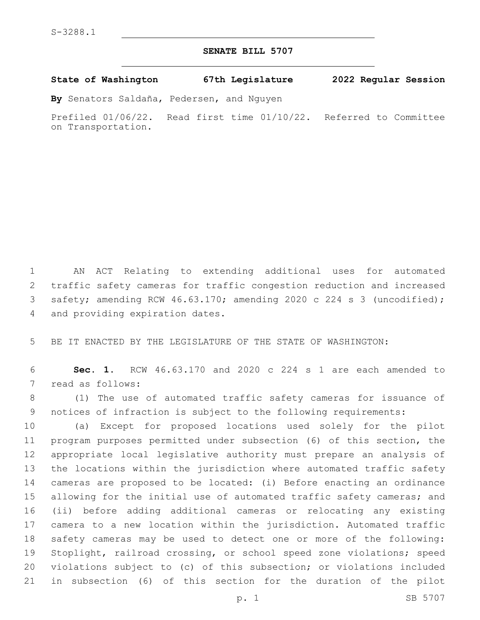## **SENATE BILL 5707**

**State of Washington 67th Legislature 2022 Regular Session**

**By** Senators Saldaña, Pedersen, and Nguyen

Prefiled 01/06/22. Read first time 01/10/22. Referred to Committee on Transportation.

 AN ACT Relating to extending additional uses for automated traffic safety cameras for traffic congestion reduction and increased safety; amending RCW 46.63.170; amending 2020 c 224 s 3 (uncodified); 4 and providing expiration dates.

BE IT ENACTED BY THE LEGISLATURE OF THE STATE OF WASHINGTON:

 **Sec. 1.** RCW 46.63.170 and 2020 c 224 s 1 are each amended to 7 read as follows:

 (1) The use of automated traffic safety cameras for issuance of notices of infraction is subject to the following requirements:

 (a) Except for proposed locations used solely for the pilot program purposes permitted under subsection (6) of this section, the appropriate local legislative authority must prepare an analysis of the locations within the jurisdiction where automated traffic safety cameras are proposed to be located: (i) Before enacting an ordinance 15 allowing for the initial use of automated traffic safety cameras; and (ii) before adding additional cameras or relocating any existing camera to a new location within the jurisdiction. Automated traffic safety cameras may be used to detect one or more of the following: Stoplight, railroad crossing, or school speed zone violations; speed violations subject to (c) of this subsection; or violations included in subsection (6) of this section for the duration of the pilot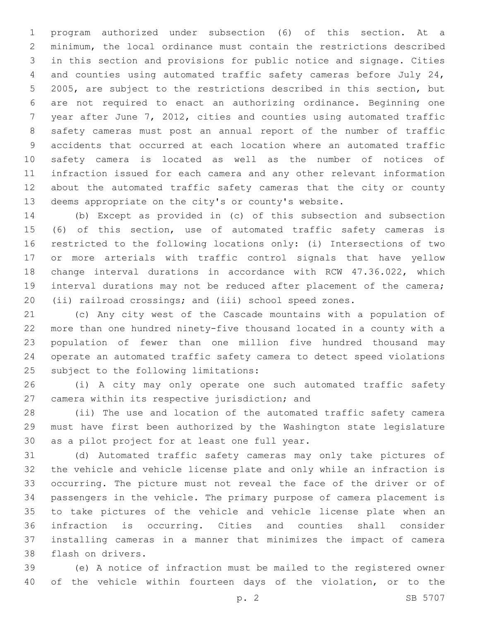program authorized under subsection (6) of this section. At a minimum, the local ordinance must contain the restrictions described in this section and provisions for public notice and signage. Cities and counties using automated traffic safety cameras before July 24, 2005, are subject to the restrictions described in this section, but are not required to enact an authorizing ordinance. Beginning one year after June 7, 2012, cities and counties using automated traffic safety cameras must post an annual report of the number of traffic accidents that occurred at each location where an automated traffic safety camera is located as well as the number of notices of infraction issued for each camera and any other relevant information about the automated traffic safety cameras that the city or county deems appropriate on the city's or county's website.

 (b) Except as provided in (c) of this subsection and subsection (6) of this section, use of automated traffic safety cameras is restricted to the following locations only: (i) Intersections of two or more arterials with traffic control signals that have yellow change interval durations in accordance with RCW 47.36.022, which interval durations may not be reduced after placement of the camera; (ii) railroad crossings; and (iii) school speed zones.

 (c) Any city west of the Cascade mountains with a population of more than one hundred ninety-five thousand located in a county with a population of fewer than one million five hundred thousand may operate an automated traffic safety camera to detect speed violations 25 subject to the following limitations:

 (i) A city may only operate one such automated traffic safety 27 camera within its respective jurisdiction; and

 (ii) The use and location of the automated traffic safety camera must have first been authorized by the Washington state legislature 30 as a pilot project for at least one full year.

 (d) Automated traffic safety cameras may only take pictures of the vehicle and vehicle license plate and only while an infraction is occurring. The picture must not reveal the face of the driver or of passengers in the vehicle. The primary purpose of camera placement is to take pictures of the vehicle and vehicle license plate when an infraction is occurring. Cities and counties shall consider installing cameras in a manner that minimizes the impact of camera 38 flash on drivers.

 (e) A notice of infraction must be mailed to the registered owner of the vehicle within fourteen days of the violation, or to the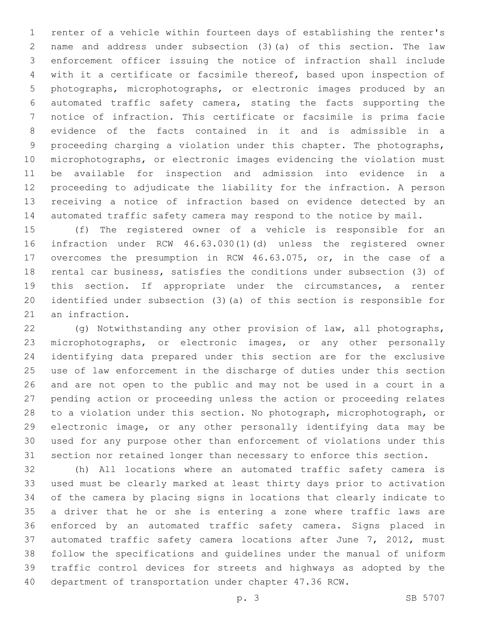renter of a vehicle within fourteen days of establishing the renter's name and address under subsection (3)(a) of this section. The law enforcement officer issuing the notice of infraction shall include with it a certificate or facsimile thereof, based upon inspection of photographs, microphotographs, or electronic images produced by an automated traffic safety camera, stating the facts supporting the notice of infraction. This certificate or facsimile is prima facie evidence of the facts contained in it and is admissible in a proceeding charging a violation under this chapter. The photographs, microphotographs, or electronic images evidencing the violation must be available for inspection and admission into evidence in a proceeding to adjudicate the liability for the infraction. A person receiving a notice of infraction based on evidence detected by an automated traffic safety camera may respond to the notice by mail.

 (f) The registered owner of a vehicle is responsible for an infraction under RCW 46.63.030(1)(d) unless the registered owner overcomes the presumption in RCW 46.63.075, or, in the case of a rental car business, satisfies the conditions under subsection (3) of this section. If appropriate under the circumstances, a renter identified under subsection (3)(a) of this section is responsible for 21 an infraction.

 (g) Notwithstanding any other provision of law, all photographs, microphotographs, or electronic images, or any other personally identifying data prepared under this section are for the exclusive use of law enforcement in the discharge of duties under this section and are not open to the public and may not be used in a court in a pending action or proceeding unless the action or proceeding relates to a violation under this section. No photograph, microphotograph, or electronic image, or any other personally identifying data may be used for any purpose other than enforcement of violations under this section nor retained longer than necessary to enforce this section.

 (h) All locations where an automated traffic safety camera is used must be clearly marked at least thirty days prior to activation of the camera by placing signs in locations that clearly indicate to a driver that he or she is entering a zone where traffic laws are enforced by an automated traffic safety camera. Signs placed in automated traffic safety camera locations after June 7, 2012, must follow the specifications and guidelines under the manual of uniform traffic control devices for streets and highways as adopted by the department of transportation under chapter 47.36 RCW.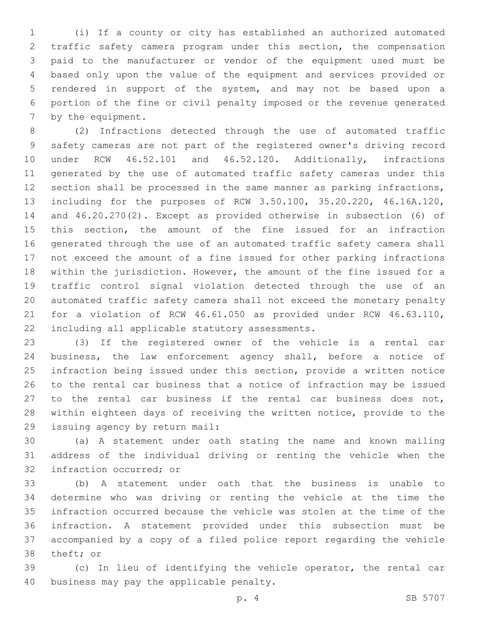(i) If a county or city has established an authorized automated traffic safety camera program under this section, the compensation paid to the manufacturer or vendor of the equipment used must be based only upon the value of the equipment and services provided or rendered in support of the system, and may not be based upon a portion of the fine or civil penalty imposed or the revenue generated 7 by the equipment.

 (2) Infractions detected through the use of automated traffic safety cameras are not part of the registered owner's driving record under RCW 46.52.101 and 46.52.120. Additionally, infractions generated by the use of automated traffic safety cameras under this section shall be processed in the same manner as parking infractions, including for the purposes of RCW 3.50.100, 35.20.220, 46.16A.120, and 46.20.270(2). Except as provided otherwise in subsection (6) of this section, the amount of the fine issued for an infraction generated through the use of an automated traffic safety camera shall not exceed the amount of a fine issued for other parking infractions within the jurisdiction. However, the amount of the fine issued for a traffic control signal violation detected through the use of an automated traffic safety camera shall not exceed the monetary penalty for a violation of RCW 46.61.050 as provided under RCW 46.63.110, 22 including all applicable statutory assessments.

 (3) If the registered owner of the vehicle is a rental car business, the law enforcement agency shall, before a notice of infraction being issued under this section, provide a written notice to the rental car business that a notice of infraction may be issued to the rental car business if the rental car business does not, within eighteen days of receiving the written notice, provide to the 29 issuing agency by return mail:

 (a) A statement under oath stating the name and known mailing address of the individual driving or renting the vehicle when the 32 infraction occurred; or

 (b) A statement under oath that the business is unable to determine who was driving or renting the vehicle at the time the infraction occurred because the vehicle was stolen at the time of the infraction. A statement provided under this subsection must be accompanied by a copy of a filed police report regarding the vehicle 38 theft; or

 (c) In lieu of identifying the vehicle operator, the rental car 40 business may pay the applicable penalty.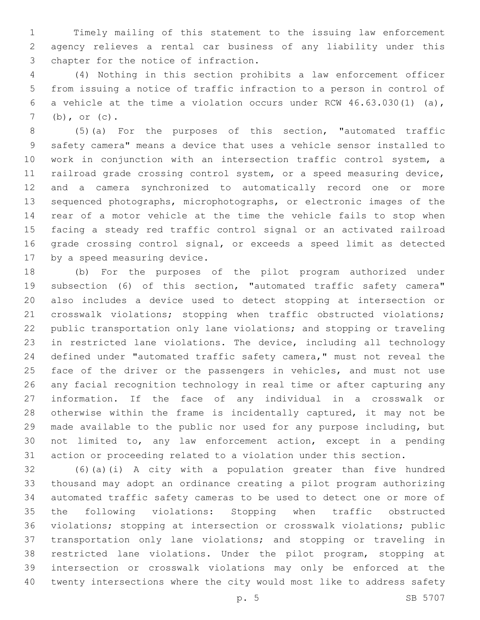Timely mailing of this statement to the issuing law enforcement agency relieves a rental car business of any liability under this 3 chapter for the notice of infraction.

 (4) Nothing in this section prohibits a law enforcement officer from issuing a notice of traffic infraction to a person in control of a vehicle at the time a violation occurs under RCW 46.63.030(1) (a), (b), or (c).

 (5)(a) For the purposes of this section, "automated traffic safety camera" means a device that uses a vehicle sensor installed to work in conjunction with an intersection traffic control system, a railroad grade crossing control system, or a speed measuring device, and a camera synchronized to automatically record one or more sequenced photographs, microphotographs, or electronic images of the rear of a motor vehicle at the time the vehicle fails to stop when facing a steady red traffic control signal or an activated railroad grade crossing control signal, or exceeds a speed limit as detected 17 by a speed measuring device.

 (b) For the purposes of the pilot program authorized under subsection (6) of this section, "automated traffic safety camera" also includes a device used to detect stopping at intersection or crosswalk violations; stopping when traffic obstructed violations; public transportation only lane violations; and stopping or traveling in restricted lane violations. The device, including all technology defined under "automated traffic safety camera," must not reveal the 25 face of the driver or the passengers in vehicles, and must not use any facial recognition technology in real time or after capturing any information. If the face of any individual in a crosswalk or otherwise within the frame is incidentally captured, it may not be made available to the public nor used for any purpose including, but not limited to, any law enforcement action, except in a pending action or proceeding related to a violation under this section.

 (6)(a)(i) A city with a population greater than five hundred thousand may adopt an ordinance creating a pilot program authorizing automated traffic safety cameras to be used to detect one or more of the following violations: Stopping when traffic obstructed violations; stopping at intersection or crosswalk violations; public transportation only lane violations; and stopping or traveling in restricted lane violations. Under the pilot program, stopping at intersection or crosswalk violations may only be enforced at the twenty intersections where the city would most like to address safety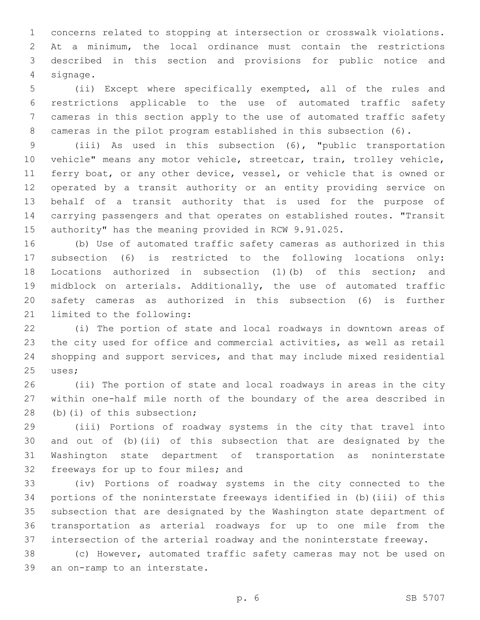concerns related to stopping at intersection or crosswalk violations. At a minimum, the local ordinance must contain the restrictions described in this section and provisions for public notice and signage.4

 (ii) Except where specifically exempted, all of the rules and restrictions applicable to the use of automated traffic safety cameras in this section apply to the use of automated traffic safety cameras in the pilot program established in this subsection (6).

 (iii) As used in this subsection (6), "public transportation vehicle" means any motor vehicle, streetcar, train, trolley vehicle, ferry boat, or any other device, vessel, or vehicle that is owned or operated by a transit authority or an entity providing service on behalf of a transit authority that is used for the purpose of carrying passengers and that operates on established routes. "Transit authority" has the meaning provided in RCW 9.91.025.

 (b) Use of automated traffic safety cameras as authorized in this subsection (6) is restricted to the following locations only: Locations authorized in subsection (1)(b) of this section; and midblock on arterials. Additionally, the use of automated traffic safety cameras as authorized in this subsection (6) is further 21 limited to the following:

 (i) The portion of state and local roadways in downtown areas of the city used for office and commercial activities, as well as retail shopping and support services, and that may include mixed residential 25 uses;

 (ii) The portion of state and local roadways in areas in the city within one-half mile north of the boundary of the area described in 28 (b)(i) of this subsection;

 (iii) Portions of roadway systems in the city that travel into and out of (b)(ii) of this subsection that are designated by the Washington state department of transportation as noninterstate 32 freeways for up to four miles; and

 (iv) Portions of roadway systems in the city connected to the portions of the noninterstate freeways identified in (b)(iii) of this subsection that are designated by the Washington state department of transportation as arterial roadways for up to one mile from the intersection of the arterial roadway and the noninterstate freeway.

 (c) However, automated traffic safety cameras may not be used on 39 an on-ramp to an interstate.

p. 6 SB 5707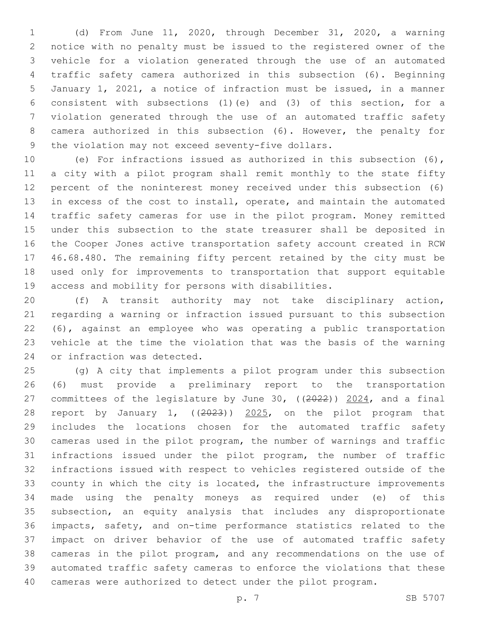(d) From June 11, 2020, through December 31, 2020, a warning notice with no penalty must be issued to the registered owner of the vehicle for a violation generated through the use of an automated traffic safety camera authorized in this subsection (6). Beginning January 1, 2021, a notice of infraction must be issued, in a manner consistent with subsections (1)(e) and (3) of this section, for a violation generated through the use of an automated traffic safety camera authorized in this subsection (6). However, the penalty for 9 the violation may not exceed seventy-five dollars.

 (e) For infractions issued as authorized in this subsection (6), a city with a pilot program shall remit monthly to the state fifty percent of the noninterest money received under this subsection (6) in excess of the cost to install, operate, and maintain the automated traffic safety cameras for use in the pilot program. Money remitted under this subsection to the state treasurer shall be deposited in the Cooper Jones active transportation safety account created in RCW 46.68.480. The remaining fifty percent retained by the city must be used only for improvements to transportation that support equitable access and mobility for persons with disabilities.

 (f) A transit authority may not take disciplinary action, regarding a warning or infraction issued pursuant to this subsection (6), against an employee who was operating a public transportation vehicle at the time the violation that was the basis of the warning 24 or infraction was detected.

 (g) A city that implements a pilot program under this subsection (6) must provide a preliminary report to the transportation committees of the legislature by June 30, ((2022)) 2024, and a final report by January 1, ((2023)) 2025, on the pilot program that includes the locations chosen for the automated traffic safety cameras used in the pilot program, the number of warnings and traffic infractions issued under the pilot program, the number of traffic infractions issued with respect to vehicles registered outside of the county in which the city is located, the infrastructure improvements made using the penalty moneys as required under (e) of this subsection, an equity analysis that includes any disproportionate impacts, safety, and on-time performance statistics related to the impact on driver behavior of the use of automated traffic safety cameras in the pilot program, and any recommendations on the use of automated traffic safety cameras to enforce the violations that these cameras were authorized to detect under the pilot program.